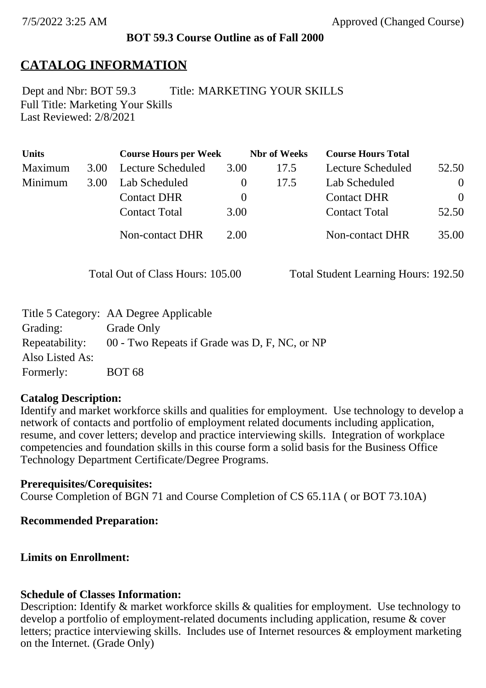### **BOT 59.3 Course Outline as of Fall 2000**

# **CATALOG INFORMATION**

Full Title: Marketing Your Skills Last Reviewed: 2/8/2021 Dept and Nbr: BOT 59.3 Title: MARKETING YOUR SKILLS

| <b>Units</b> |      | <b>Course Hours per Week</b> |          | <b>Nbr</b> of Weeks | <b>Course Hours Total</b> |          |
|--------------|------|------------------------------|----------|---------------------|---------------------------|----------|
| Maximum      | 3.00 | <b>Lecture Scheduled</b>     | 3.00     | 17.5                | Lecture Scheduled         | 52.50    |
| Minimum      | 3.00 | Lab Scheduled                | $\bf{0}$ | 17.5                | Lab Scheduled             | $\theta$ |
|              |      | <b>Contact DHR</b>           | $\theta$ |                     | <b>Contact DHR</b>        | $\Omega$ |
|              |      | <b>Contact Total</b>         | 3.00     |                     | <b>Contact Total</b>      | 52.50    |
|              |      | <b>Non-contact DHR</b>       | 2.00     |                     | <b>Non-contact DHR</b>    | 35.00    |

Total Out of Class Hours: 105.00 Total Student Learning Hours: 192.50

|                 | Title 5 Category: AA Degree Applicable        |
|-----------------|-----------------------------------------------|
| Grading:        | Grade Only                                    |
| Repeatability:  | 00 - Two Repeats if Grade was D, F, NC, or NP |
| Also Listed As: |                                               |
| Formerly:       | <b>BOT 68</b>                                 |

### **Catalog Description:**

Identify and market workforce skills and qualities for employment. Use technology to develop a network of contacts and portfolio of employment related documents including application, resume, and cover letters; develop and practice interviewing skills. Integration of workplace competencies and foundation skills in this course form a solid basis for the Business Office Technology Department Certificate/Degree Programs.

### **Prerequisites/Corequisites:**

Course Completion of BGN 71 and Course Completion of CS 65.11A ( or BOT 73.10A)

### **Recommended Preparation:**

## **Limits on Enrollment:**

### **Schedule of Classes Information:**

Description: Identify & market workforce skills & qualities for employment. Use technology to develop a portfolio of employment-related documents including application, resume & cover letters; practice interviewing skills. Includes use of Internet resources & employment marketing on the Internet. (Grade Only)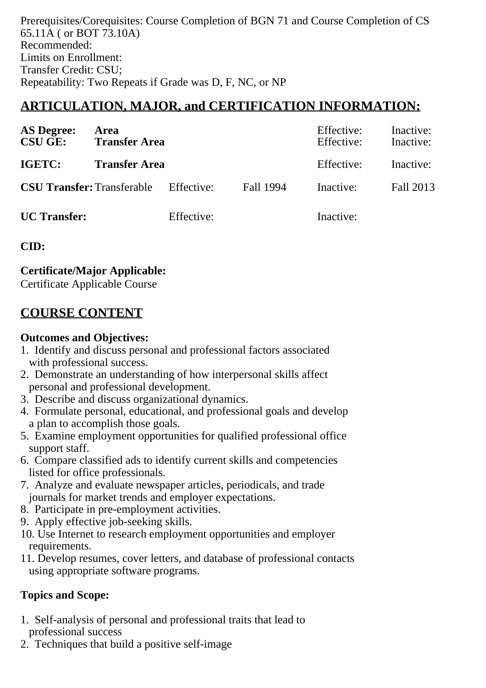Prerequisites/Corequisites: Course Completion of BGN 71 and Course Completion of CS 65.11A ( or BOT 73.10A) Recommended: Limits on Enrollment: Transfer Credit: CSU; Repeatability: Two Repeats if Grade was D, F, NC, or NP

# **ARTICULATION, MAJOR, and CERTIFICATION INFORMATION:**

| <b>AS Degree:</b><br><b>CSU GE:</b> | Area<br><b>Transfer Area</b> |            | Effective:<br>Effective: | Inactive:<br>Inactive: |           |
|-------------------------------------|------------------------------|------------|--------------------------|------------------------|-----------|
| IGETC:                              | <b>Transfer Area</b>         |            | Effective:               | Inactive:              |           |
| <b>CSU Transfer: Transferable</b>   |                              | Effective: | Fall 1994                | Inactive:              | Fall 2013 |
| <b>UC</b> Transfer:                 |                              | Effective: |                          | Inactive:              |           |

**CID:**

**Certificate/Major Applicable:** 

[Certificate Applicable Course](SR_ClassCheck.aspx?CourseKey=BOT59.3)

# **COURSE CONTENT**

# **Outcomes and Objectives:**

- 1. Identify and discuss personal and professional factors associated with professional success.
- 2. Demonstrate an understanding of how interpersonal skills affect personal and professional development.
- 3. Describe and discuss organizational dynamics.
- 4. Formulate personal, educational, and professional goals and develop a plan to accomplish those goals.
- 5. Examine employment opportunities for qualified professional office support staff.
- 6. Compare classified ads to identify current skills and competencies listed for office professionals.
- 7. Analyze and evaluate newspaper articles, periodicals, and trade journals for market trends and employer expectations.
- 8. Participate in pre-employment activities.
- 9. Apply effective job-seeking skills.
- 10. Use Internet to research employment opportunities and employer requirements.
- 11. Develop resumes, cover letters, and database of professional contacts using appropriate software programs.

# **Topics and Scope:**

- 1. Self-analysis of personal and professional traits that lead to professional success
- 2. Techniques that build a positive self-image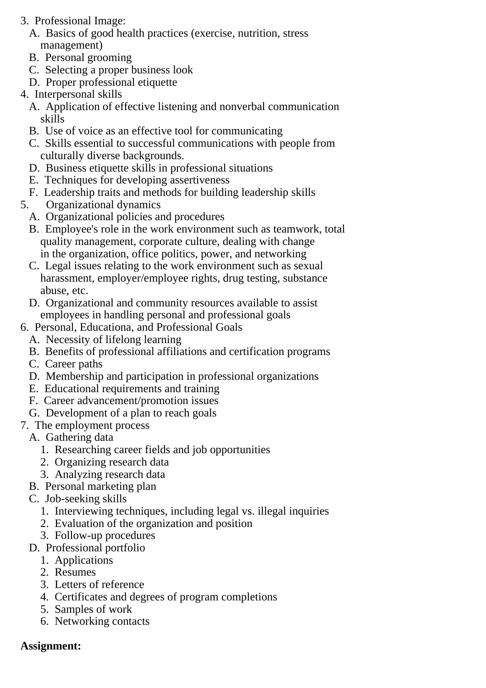- 3. Professional Image:
	- A. Basics of good health practices (exercise, nutrition, stress management)
	- B. Personal grooming
	- C. Selecting a proper business look
	- D. Proper professional etiquette
- 4. Interpersonal skills
	- A. Application of effective listening and nonverbal communication skills
	- B. Use of voice as an effective tool for communicating
	- C. Skills essential to successful communications with people from culturally diverse backgrounds.
	- D. Business etiquette skills in professional situations
	- E. Techniques for developing assertiveness
	- F. Leadership traits and methods for building leadership skills
- 5. Organizational dynamics
	- A. Organizational policies and procedures
	- B. Employee's role in the work environment such as teamwork, total quality management, corporate culture, dealing with change in the organization, office politics, power, and networking
	- C. Legal issues relating to the work environment such as sexual harassment, employer/employee rights, drug testing, substance abuse, etc.
	- D. Organizational and community resources available to assist employees in handling personal and professional goals
- 6. Personal, Educationa, and Professional Goals
	- A. Necessity of lifelong learning
	- B. Benefits of professional affiliations and certification programs
	- C. Career paths
	- D. Membership and participation in professional organizations
	- E. Educational requirements and training
	- F. Career advancement/promotion issues
	- G. Development of a plan to reach goals
- 7. The employment process
	- A. Gathering data
		- 1. Researching career fields and job opportunities
		- 2. Organizing research data
		- 3. Analyzing research data
	- B. Personal marketing plan
	- C. Job-seeking skills
		- 1. Interviewing techniques, including legal vs. illegal inquiries
		- 2. Evaluation of the organization and position
		- 3. Follow-up procedures
	- D. Professional portfolio
		- 1. Applications
		- 2. Resumes
		- 3. Letters of reference
		- 4. Certificates and degrees of program completions
		- 5. Samples of work
		- 6. Networking contacts

## **Assignment:**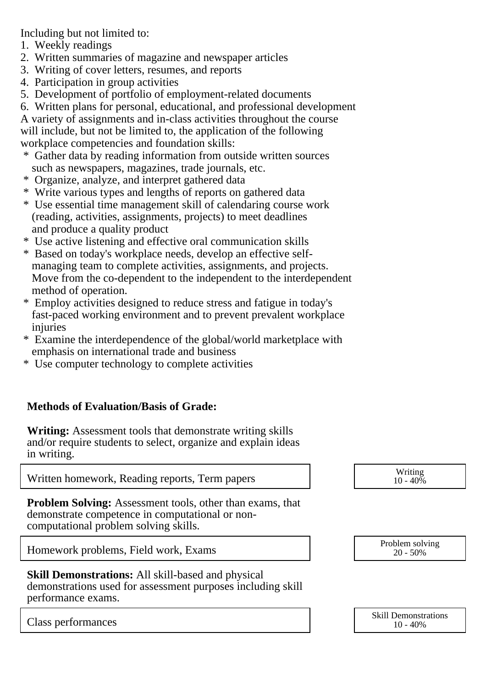Including but not limited to:

- 1. Weekly readings
- 2. Written summaries of magazine and newspaper articles
- 3. Writing of cover letters, resumes, and reports
- 4. Participation in group activities
- 5. Development of portfolio of employment-related documents
- 6. Written plans for personal, educational, and professional development

A variety of assignments and in-class activities throughout the course will include, but not be limited to, the application of the following workplace competencies and foundation skills:

- \* Gather data by reading information from outside written sources such as newspapers, magazines, trade journals, etc.
- \* Organize, analyze, and interpret gathered data
- \* Write various types and lengths of reports on gathered data
- \* Use essential time management skill of calendaring course work (reading, activities, assignments, projects) to meet deadlines and produce a quality product
- \* Use active listening and effective oral communication skills
- \* Based on today's workplace needs, develop an effective self managing team to complete activities, assignments, and projects. Move from the co-dependent to the independent to the interdependent method of operation.
- \* Employ activities designed to reduce stress and fatigue in today's fast-paced working environment and to prevent prevalent workplace injuries
- \* Examine the interdependence of the global/world marketplace with emphasis on international trade and business
- \* Use computer technology to complete activities

## **Methods of Evaluation/Basis of Grade:**

**Writing:** Assessment tools that demonstrate writing skills and/or require students to select, organize and explain ideas in writing.

Written homework, Reading reports, Term papers  $\vert$  (10 - 40%)

**Problem Solving:** Assessment tools, other than exams, that demonstrate competence in computational or noncomputational problem solving skills.

Homework problems, Field work, Exams  $\begin{array}{ccc} \hline \text{Problem solving} \\ \hline \text{20 - 50\%} \end{array}$ 

**Skill Demonstrations:** All skill-based and physical demonstrations used for assessment purposes including skill performance exams.

 $10 - 40\%$ 

20 - 50%

Class performances and the skill Demonstrations of the Skill Demonstrations of the Skill Demonstrations of the Skill Demonstrations of the Skill Demonstrations of the Skill Demonstrations of the Skill Demonstrations of the 10 - 40%